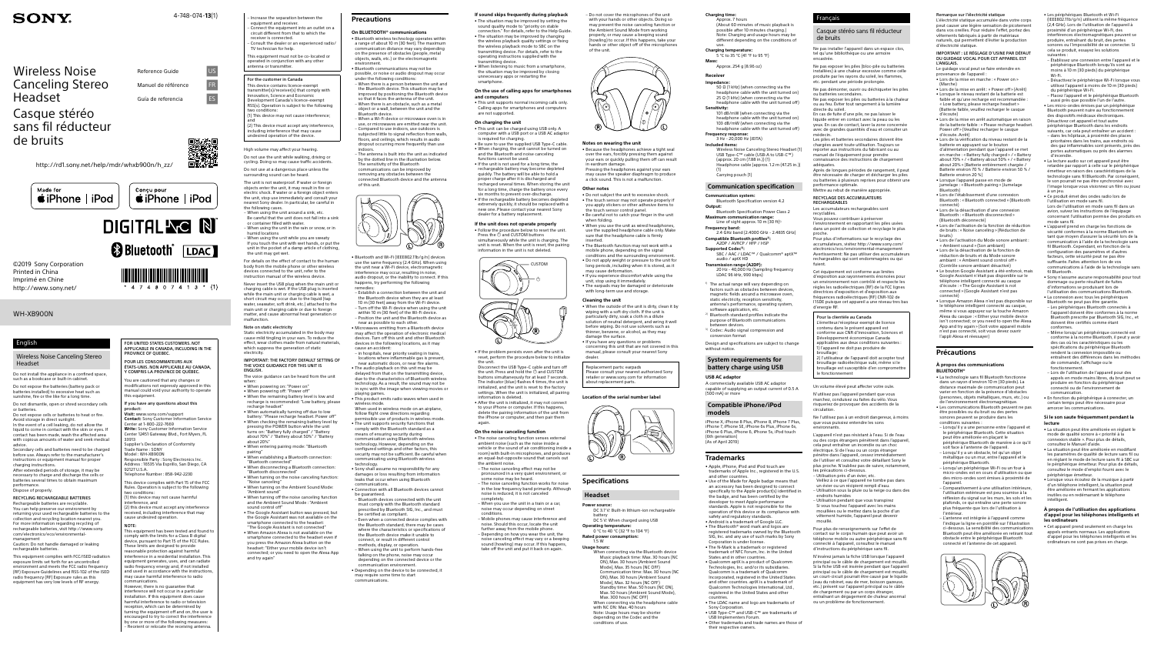WH-XB900N

Wireless Noise Canceling Stereo Headset

# Casque stéréo sans fil réducteur de bruits

# **SONY**

4-748-074-**13**(1)

Reference Guide US Manuel de référence FR Guía de referencia **ES** 

©2019 Sony Corporation Printed in China Imprimé en Chine http://www.sony.net/

Do not install the appliance in a confined space,  $\frac{1}{3}$ such as a bookcase or built-in cabinet.

Do not expose the batteries (battery pack or batteries installed) to excessive heat such as batteries installed) to excessive heat suc-<br>sunshine, fire or the like for a long time.

http://rd1.sony.net/help/mdr/whxb900n/h\_zz/





### English

### Wireless Noise Canceling Stereo Headset

Secondary cells and batteries need to be charged before use. Always refer to the manufacture instructions or equipment manual for proper

Do not dismantle, open or shred secondary cells or batteries. Do not expose cells or batteries to heat or fire.

Avoid storage in direct sunlight. In the event of a cell leaking, do not allow the liquid to come in contact with the skin or eyes. If contact has been made, wash the affected area with copious amounts of water and seek medical advice.

FOR UNITED STATES CUSTOMERS. NOT APPLICABLE IN CANADA, INCLUDING IN THE ROVINCE OF OUEBEC

 $4807413*(1)$ 

charging instructions. After extended periods of storage, it may be necessary to charge and discharge the cells or batteries several times to obtain maximum

**Visit:** www.sony.com/support **Contact:** Sony Customer Information Service Center at 1-800-222-7669 **Write:** Sony Customer Information Service

Center 12451 Gateway Blvd., Fort Myers, FL 33913 upplier's Declaration of Conformit

performance. Dispose of properly. RECYCLING RECHARGEABLE BATTERIES

sible Party : Sony Electronics In Address : 16535 Via Esprillo, San Diego, CA 92127 U.S.A.

(1) this device may not cause harmful terference, and

Rechargeable batteries are recyclable. You can help preserve our environment by returning your used rechargeable batteries to the collection and recycling location nearest you. For more information regarding recycling of [rechargeable batteries, visit http://www.sony.](http://www.sony.com/electronics/eco/environmental-management) com/electronics/eco/environmentalmanagement Caution: Do not handle damaged or leaking

> reasonable protection against harmful interference in a residential installation. This ipment generates, uses, and can radiate radio frequency energy and, if not installed and used in accordance with the instructions ma asea in accordance then the instruct<br>hay cause harmful interference to radio mmunications.

rechargeable batteries.

However, there is no guarantee that nterference will not occur in a particular nstallation. If this equipment does cause harmful interference to radio or television anniar interference to radio or televisi turning the equipment off and on, the user is encouraged to try to correct the interference by one or more of the following measures: Reorient or relocate the receiving antenna

This equipment complies with FCC/ISED radiation exposure limits set forth for an uncontrolled environment and meets the FCC radio frequency (RF) Exposure Guidelines and RSS-102 of the ISED radio frequency (RF) Exposure rules as this equipment has very low levels of RF energy.

POUR LES CONSOMMATEURS AUX ÉTATS-UNIS. NON APPLICABLE AU CANADA, Y COMPRIS LA PROVINCE DE QUÉBEC.

.<br>You are cautioned that any changes or<br>modifications not expressly approved in this modifications not expressly approved in this manual could void your authority to operate this equipment

 $t$ receiver(s) that comply with  $\ell$ Institute (3) receiver(3) that comprehensive Development Canada's licence-exempt  $RSS(s)$ . Operation is subject to the follow two conditions: (1) This device may not cause interference;

If you have any questions about this product:

– When using the unit around a sink, etc. Be careful that the unit does not fall into a sink action that the unit does.<br>Intainer filled with water.

Trade Name : SONY Model : WH-XB900N – When using the unit while you are sweaty If you touch the unit with wet hands, or put the unit in the pocket of a damp article of clothing, the unit may get we

Telephone Number : 858-942-2230 This device complies with Part 15 of the FCC

Rules. Operation is subject to the following two conditions:

(2) this device must accept any interference .<br>received, including interference that may cause undesired operation.

Never insert the USB plug when the main unit or charging cable is wet. If the USB plug is inserted while the main unit or charging cable is wet, a short circuit may occur due to the liquid (tap water, seawater, soft drink, etc.) attached to the main unit or charging cable or due to foreign matter, and cause abnormal heat generation or malfunction.

NOTE: This equipment has been tested and found t comply with the limits for a Class B digital device, pursuant to Part 15 of the FCC Rules. These limits are designed to provide

- • When powering off: "Power off"
- • When the remaining battery level is low and recharge is recommended: "Low battery, please recharge headset"
- • When automatically turning off due to low battery: "Please recharge headset. Power off" • When checking the remaining battery level by
- pressing the POWER button while the unit turns on: "Battery fully charged" / "Battery about 70%" / "Battery about 50%" / "Battery
- about 20%" • When entering pairing mode: "Bluetooth
- pairing" • When establishing a Bluetooth connection:
- "Bluetooth connected" • When disconnecting a Bluetooth connection:
- Bluetooth disconnected **FUNCTOR FIGURE 1999**<br>When turning on the noise canceling function:<br>"Noise canceling"
- "Noise canceling" • When turning on the Ambient Sound Mode: "Ambient sound"
	- When turning off the noise canceling function and the Ambient Sound Mode : "Ambient
	- und control off • Sound control on the Google Assistant was not available on the smartphone connected to the headset:
	- "The Google Assistant is not connected" • When Amazon Alexa is not available on the smartphone connected to the headset even if you press the Amazon Alexa button on the headset: "Either your mobile device isn't causer: Enner you mobile device isn't and try agair

• Bluetooth wireless technology operates within a range of about 10 m (30 feet). The maximum unication distance may vary depending on the presence of obstacles (people, metal objects, walls, etc.) or the electromagnetic environment. • Bluetooth communications may not be

– Increase the separation between the equipment and receiver. – Connect the equipment into an outlet on a circuit different from that to which the receiver is connected. – Consult the dealer or an experienced radio/ TV technician for help. This equipment must not be co-located or

operated in conjunction with any other antenna or transmitter.

#### For the customer in Canada This device contains licence-exempt

floors, and ceilings, which results in audio dropout occurring more frequently than use indoors. – The antenna is built into the unit as indicated by the dotted line in the illustration below. The sensitivity of the Bluetooth

and (2) This device must accept any interference, including interference that may cause undesired operation of the device.

High volume may affect your hearing.

Do not use the unit while walking, driving or cycling. Doing so may cause traffic accidents. Do not use at a dangerous place unless the

surrounding sound can be heard. The unit is not waterproof. If water or foreign objects enter the unit, it may result in fire or electric shock. If water or a foreign object enters the unit, stop use immediately and consult your nearest Sony dealer. In particular, be careful in the following cases.

> in sync with the image when viewing movies or playing games. • This product emits radio waves when used in

– When using the unit in the rain or snow, or in humid locations

For details on the effect of contact to the human body from the mobile phone or other wireless devices connected to the unit, refer to the instruction manual of the wireless device.

> • Depending on the device to be connected, it may require some time to start communications.

### Note on static electricity

Static electricity accumulated in the body may cause mild tingling in your ears. To reduce the effect, wear clothes made from natural materials, which suppress the generation of static electricity.

IMPORTANT: THE FACTORY DEFAULT SETTING OF THE VOICE GUIDANCE FOR THIS UNIT IS

ENGLISH. The voice guidance can be heard from the unit

when: • When powering on: "Power on"

• Follow the procedure below to reset the unit Press the  $\ddot{\circ}$  and CUSTOM buttons simultaneously while the unit is charging. The unit is reset. When the unit is reset, the pairing

• If the problem persists even after the unit is reset, perform the procedure below to initialize

**On the noise canceling function** • The noise canceling function senses external ambient noise (such as the noise inside a vehicle or the sound of air conditioning inside a room) with built-in microphones, and produces an equal-but-opposite sound that cancels out the ambient noise. – The noise canceling effect may not be pronounced in a very quiet environment, or some noise may be heard. – The noise canceling function works for noise in the low frequency band primarily. Although moise is reduced, it is not canceled

– Do not cover the microphones of the unit with your hands or other objects. Doing so  $m$ ay prevent the noise canceling function or the Ambient Sound Mode from work properly, or may cause a beeping sound (howling) to occur. If this happens, take your hands or other object off of the mic

### **Precautions**

### **On BLUETOOTH® communications**

• Do not subject the unit to excessive shock • The touch sensor may not operate properly if you apply stickers or other adhesive items to the touch sensor control panel. • Be careful not to catch your finger in the unit when folding. • When you use the unit as wired headphones, use the supplied headphone cable only. Make sure that the headphone cable is firmly inserted. • The Bluetooth function may not work with a mobile phone, depending on the signal conditions and the surrounding environment. • Do not apply weight or pressure to the unit for long periods, including when it is stored, as it

• If you experience discomfort while using the unit, stop using it immediately. • The earpads may be damaged or deteriorate with long-term use and storage.

possible, or noise or audio dropout may occur under the following conditions: – When there is a person between the unit and the Bluetooth device. This situation may be improved by positioning the Bluetooth device so that it faces the antenna of the unit. – When there is an obstacle, such as a metal object or a wall, between the unit and the Bluetooth device.

> • When the outside of the unit is dirty, clean it by wiping with a soft dry cloth. If the unit is particularly dirty, soak a cloth in a dilute solution of neutral detergent, and wring it well before wiping. Do not use solvents such as thinner, benzene, or alcohol, as they may

– When a Wi-Fi device or microwave oven is in use, or microwaves are emitted near the unit – Compared to use indoors, use outdoors is subjected little to signal reflection from walls,

> When connecting via the Bluetooth device Music playback time: Max. 30 hours (NC ON), Max. 30 hours (Ambient Sound Mode), Max. 35 hours (NC OFF)

 $\widetilde{\mathsf{F}}$ unication time: Max. 30 hours (NC ON), Max. 30 hours (Ambient Sound Mode), Max. 32 hours (NC OFF) Standby time: Max. 50 hours (NC ON), Max. 50 hours (Ambient Sound Mode), Max. 300 hours (NC OFF) When connecting via the headphone cable with NC ON: Max. 40 hours Note: Usage hours may be shorter depending on the Codec and the

communications can be improved by removing any obstacles between the connected Bluetooth device and the antenna of this unit.



• Bluetooth and Wi-Fi (IEEE802.11b/g/n) devices use the same frequency (2.4 GHz). When using the unit near a Wi-Fi device, electromagnetic interference may occur, resulting in noise, audio dropout, or the inability to connect. If this happens, try performing the following

Bluetooth Specification Power Class 2 **Maximum communication range:** Line of sight approx. 10 m (30 ft)<sup>1</sup>

remedies: – Establish a connection between the unit and the Bluetooth device when they are at least 10 m (30 feet) away from the Wi-Fi device. – Turn off the Wi-Fi device when using the unit within 10 m (30 feet) of the Wi-Fi device. – Position the unit and the Bluetooth device as near as possible to each other.

**Frequency band:** 2.4 GHz band (2.4000 GHz - 2.4835 GHz) Compatible Bluetooth profiles<sup>2)</sup>

• Microwaves emitting from a Bluetooth device may affect the operation of electronic medical devices. Turn off this unit and other Bluetoot devices in the following locations, as it may cause an accident:

1) The actual range will vary depending on factors such as obstacles between devices, magnetic fields around a microwave oven, static electricity, reception sensitivity, antenna's performance, operating system, software application, etc.

A commercially available USB AC adaptor capable of supplying an output current of 0.5 A  $(500 \text{ mA})$  or more

– in hospitals, near priority seating in trains, locations where inflammable gas is present, near automatic doors, or near fire alarms. • The audio playback on this unit may be

delayed from that on the transmitting device, due to the characteristics of Bluetooth wireles technology. As a result, the sound may not be

- • Use of the Made for Apple badge means that an accessory has been designed to connect specifically to the Apple product(s) identified in the badge, and has been certified by the developer to meet Apple performance standards. Apple is not responsible for the operation of this device or its compliance with safety and regulatory standards. • Android is a trademark of Google LLC.
- • The Bluetooth® word mark and logos are registered trademarks owned by the Bluetooth SIG, Inc. and any use of such marks by Sony Corporation is under license. • The N-Mark is a trademark or registered
- trademark of NFC Forum, Inc. in the United
- States and in other countries. • Qualcomm aptX is a product of Qualcomm Technologies, Inc. and/or its subsidiaries. Qualcomm is a trademark of Qualcomm Incorporated, registered in the United States and other countries. aptX is a trademark of Qualcomm Technologies International, Ltd., registered in the United States and other
- countries. • The LDAC name and logo are trademarks of Sony Corporation. • USB Type-C™ and USB-C™ are trademarks of
- USB Implem

wireless mode. When used in wireless mode on an airplane follow flight crew directions regarding permissible use of products in wireless mode.

• The unit supports security functions that comply with the Bluetooth standard as a means of ensuring security during communication using Bluetooth wireless technology. However, depending on the configured settings and other factors, this security may not be sufficient. Be careful when ating using Bluetooth wir

> • Other trademarks and trade names are those of their respective owners.

Ne pas exposer les piles (bloc-pile ou batteries installées) à une chaleur excessive comme celle produite par les rayons du soleil, les flammes, tc. pendant une période prolongée

technology. • Sony shall assume no responsibility for any damages or loss resulting from inform leaks that occur when using Bluetooth

communications. • Connection with all Bluetooth devices cannot be guaranteed.

Après de longues périodes de rangement, il peut être nécessaire de charger et décharger les piles ou batteries à plusieurs reprises pour obtenir un performance optimale. Mettre au rebut de manière approprié

– Bluetooth devices connected with the unit must comply with the Bluetooth standard prescribed by Bluetooth SIG, Inc., and must be certified as compliant. – Even when a connected device complies with the Bluetooth standard, there may be cases where the characteristics or specifications of the Bluetooth device make it unable to connect, or result in different control methods, display, or operation. – When using the unit to perform hands-free talking on the phone, noise may occur depending on the connected device or the communication environment.

### **If sound skips frequently during playback**

• The situation may be improved by setting the sound quality mode to "priority on stable nnection." For details, refer to the Help Guide<br>le situation may be improved by changing • The situation may be impr the wireless playback quality settings or fixing the wireless playback mode to SBC on the transmitting device. For details, refer to the operating instructions supplied with the transmitting device. • When listening to music from a smartphone, the situation may be improved by closing unnecessary apps or restarting the martphone

> N'utilisez pas l'appareil pendant que vou marchez, conduisez ou faites du vélo. Vous risqueriez de provoquer des accidents de la circulation.

#### **On the use of calling apps for smartphones and computers**

• This unit supports normal incoming calls only. Calling apps for smartphones and computers are not supported.

#### **On charging the unit**

- • This unit can be charged using USB only. A computer with a USB port or a USB AC adaptor is required for charging.
- Is required for charging.<br>• Be sure to use the supplied USB Type-C cable. • When charging, the unit cannot be turned on and the Bluetooth and noise canceling functions cannot be used.

• If the unit is not used for a long time, the recurrent is not used for a form quickly. The battery will be able to hold a proper charge after it is discharged and recharged several times. When storing the unit

for a long time, charge the battery once every six months to prevent over-discharge. • If the rechargeable battery becomes depl extremely quickly, it should be replaced with a new one. Please contact your nearest Sony dealer for a battery replacement.

### **If the unit does not operate properly**



the unit. Disconnect the USB Type-C cable and turn off the unit. Press and hold the  $\Phi$  and CUSTOM buttons simultaneously for at least 7 seconds. The indicator (blue) flashes 4 times, the unit is initialized, and the unit is reset to the factory settings. When the unit is initialized, all pairing mation is deleted. • After the unit is initialized, it may not connect

to your iPhone or computer. If this happens, delete the pairing information of the unit from the iPhone or computer, and then pair them

again.

mpletely.

– When you use the unit in a train or a car, noise may occur depending on street conditions. – Mobile phones may cause interference and noise. Should this occur, locate the unit further away from the mobile phone – Depending on how you wear the unit, the noise canceling effect may vary or a beeping sound (howling) may occur. If this happens, take off the unit and put it back on again.

of the unit.

**Notes on wearing the unit**

• Because the headphones achieve a tight seal over the ears, forcibly pressing them against your ears or quickly pulling them off can result in eardrum damage. Pressing the headphones against your ears may cause the speaker diaphragm to produce a click sound. This is not a malfunction.

**Other notes**

may cause deformation.

• Sony n'assume aucune responsabilité pour tout dommage ou perte résultant de fuites d'informations se produisant lors de

• La connexion avec tous les périphériques Bluetooth ne peut pas être garantie. – Les périphériques Bluetooth connectés à l'appareil doivent être conformes à la norme Bluetooth prescrite par Bluetooth SIG, Inc., et doivent être certifiés comme étant

- Même lorsqu'un périphérique connecté est conforme à la norme Bluetooth, il peut y avoir des cas où les caractéristiques ou les spécifications du périphérique Bluetooth rendent la connexion impossible ou entraînent des différences dans les méthodes de commande, l'affichage ou le

**Cleaning the unit**

**À propos de l'utilisation des applications**  d'appel pour les téléphones intelligents e

damage the surface.

• If you have any questions or problems concerning this unit that are not covered in this manual, please consult your nearest Sony

dealer.

Replacement parts: earpads

Please consult your nearest authorized Sony retailer or www.sony.com for information

about replacement parts.

**Location of the serial number label**

**Specifications**

**Headset**

**Power source:** DC 3.7 V: Built-in lithium-ion rechargeable battery DC 5 V: When charged using USB

**Operating temperature:**

0 °C to 40 °C (32 °F to 104 °F) **Rated power consumption:** 1.5 W **Usage hours:**

conditions of use.

### **Charging time:**

Approx. 7 hours (About 60 minutes of music playback is possible after 10 minutes charging.) Note: Charging and usage hours may be different depending on the conditions of

## use. **Charging temperature:**

5 °C to 35 °C (41 °F to 95 °F) **Mass:**

Approx. 254 g (8.96 oz)

### **Receiver**

**Impedance:** 50 Ω (1 kHz) (when connecting via the headphone cable with the unit turned on) 25 Ω (1 kHz) (when connecting via the headphone cable with the unit turned off) **Sensitivity:**

101 dB/mW (when connecting via the headphone cable with the unit turned on) 103 dB/mW (when connecting via the

headphone cable with the unit turned off) **Frequency response:** 3 Hz - 20,000 Hz (JEITA)

**Included items:** Wireless Noise Canceling Stereo Headset (1) USB Type-C™ cable (USB-A to USB-C™) (approx. 20 cm (7.88 in.)) (1) Headphone cable (approx. 1.2 m (47.25 in.))

(1) Carrying pouch (1)

### **Communication specification**

**Communication system:** Bluetooth Specification version 4.2 **Output:**

A2DP / AVRCP / HFP / HSP **Supported Codec3):**

SBC / AAC / LDAC™ / Qualcomm® aptX™ audio / aptX HD

**Transmission range (A2DP):** 20 Hz - 40,000 Hz (Sampling frequency LDAC 96 kHz, 990 kbps)

- 2) Bluetooth standard profiles indicate the purpose of Bluetooth communication .<br>ween devices
- 3) Codec: Audio signal compression and conversion format

Design and specifications are subject to change without notice.

## **System requirements for battery charge using USB**

### **USB AC adaptor**

### **Compatible iPhone/iPod models**

iPhone X, iPhone 8 Plus, iPhone 8, iPhone 7 Plus, iPhone 7, iPhone SE, iPhone 6s Plus, iPhone 6s, iPhone 6 Plus, iPhone 6, iPhone 5s, iPod touch (6th generation (As of April 2019)

### **Trademarks**

• Apple, iPhone, iPod and iPod touch are trademarks of Apple Inc., registered in the U.S. and other countries.

#### Français

Casque stéréo sans fil réducteur

de bruits

Ne pas installer l'appareil dans un espace clos, tel qu'une bibliothèque ou une armoire encastrée.

Ne pas démonter, ouvrir ou déchiqueter les piles ou batteries secondaires.

Ne pas exposer les piles ou batteries à la chaleur ou au feu. Éviter tout rangement à la lumière directe du soleil. En cas de fuite d'une pile, ne pas laisser le

liquide entrer en contact avec la peau ou les yeux. En cas de contact, laver la zone concernée avec de grandes quantités d'eau et consulter un

médecin. Les piles et batteries secondaires doivent être chargées avant toute utilisation. Toujours se reporter aux instructions du fabricant ou au manuel de l'équipement pour prendre aissance des instructions de chargement adéquates.

## RECYCLAGE DES ACCUMULATEURS

RECHARGEABLES Les accumulateurs rechargeables sont recyclables.

### Vous pouvez contribuer à préserver

l'environnement en rapportant les piles usées dans un point de collection et recyclage le plus proche. Pour plus d'informations sur le recyclage des

[accumulateurs, visitez http://www.sony.com/](http://www.sony.com/electronics/eco/environmental-management) electronics/eco/environmental-management Avertissement: Ne pas utiliser des accumulateurs rechargeables qui sont endommagées ou qui fuient.

Cet équipement est conforme aux limites d'exposition aux rayonnements énoncées pour un environnement non contrôlé et respecte les règles les radioélectriques (RF) de la FCC lignes directrices d'exposition et d'exposition aux fréquences radioélectriques (RF) CNR-102 de l'ISDE puisque cet appareil a une niveau tres bas d'energie RF.

### Pour la clientèle au Canada

L'émetteur/récepteur exempt de licence contenu dans le présent appareil est conforme aux CNR d'Innovation, Sciences et Développement économique Canada applicables aux deux conditions suivantes : 1) l'appareil ne doit pas produire de

brouillage; 2) l'utilisateur de l'appareil doit accepter tout brouillage radioélectrique subi, même si le brouillage est susceptible d'en compromettre le fonctionnement

Un volume élevé peut affecter votre ouïe.

Ne l'utilisez pas à un endroit dangereux, à moins que vous puissiez entendre les son environnants.

L'appareil n'est pas résistant à l'eau. Si de l'eau ou des corps étrangers pénètrent dans l'appareil, cela peut entraîner un incendie ou un choi électrique. Si de l'eau ou un corps étranger pénètre dans l'appareil, cessez immédiatement de l'utiliser et consultez votre détaillant Sony le plus proche. N'oubliez pas de suivre, nota les précautions ci-dessous.

- Utilisation près d'un évier, etc. Veillez à ce que l'appareil ne tombe pas dans un évier ou un récipient rempli d'eau. – Utilisation sous la pluie ou la neige ou dans des
- endroits humides – Utilisation pendant que vous transpirez

Si vous touchez l'appareil avec les mains mouillées ou le mettez dans la poche d'un vêtement humide, l'appareil peut deven mouillé.

Pour plus de renseignements sur l'effet de contact sur le corps humain que peut avoir un téléphone mobile ou autre périphérique sans fil connecté à l'appareil, consultez le manuel d'instructions du périphérique sans fil.

N'insérez jamais la fiche USB lorsque l'appareil principal ou le câble de chargement est mouillé. Si la fiche USB est insérée pendant que l'appareil principal ou le câble de chargement est mouillé, un court-circuit pourrait être causé par le liquide (eau du robinet, eau de mer, boisson gazeuse, etc.) présent sur l'appareil principal ou le câble de chargement ou par un corps étranger, entraînant un dégagement de chaleur anorma ou un problème de fonctionnement.

#### Remarque sur l'électricité statique

L'électricité statique accumulée dans votre corps peut causer une légère sensation de picotement dans vos oreilles. Pour réduire l'effet, portez des vêtements fabriqués à partir de matériaux naturels, qui permettent d'éviter la production d'électricité statique.

#### IMPORTANT : LE RÉGLAGE D'USINE PAR DÉFAUT DU GUIDAGE VOCAL POUR CET APPAREIL EST L'ANGLAIS.

- Le guidage vocal peut se faire entendre en provenance de l'appareil • Lors de la mise en marche : « Power on »
- (Marche) • Lors de la mise en arrêt : « Power off » (Arrêt)
- • Lorsque le niveau restant de la batterie est faible et qu'une recharge est recommandée : « Low battery, please recharge headset » (Batterie faible, veuillez recharger le casque
- d'écoute) • Lors de la mise en arrêt automatique en raison de la batterie faible : « Please recharge headset. Power off » (Veuillez recharger le casque d'écoute. Arrêt)
- • Lors de la vérification du niveau restant de la batterie en appuyant sur le bouton d'alimentation pendant que l'appareil se met en marche : « Battery fully charged » / « Battery about 70% » / « Battery about 50% » / « Battery about 20% » (Batterie entièrement chargée / Batterie environ 70 % / Batterie environ 50 % /
- Batterie environ 20 %) • Lorsque l'appareil passe en mode de jumelage : « Bluetooth pairing » (Jumelage
- Bluetooth) • Lors de l'établissement d'une connexion Bluetooth : « Bluetooth connected » (Bluetooth connecté)
- Lors de la désactivation d'une connexio Bluetooth : « Bluetooth disconnected »
- (Bluetooth déconnecté) • Lors de l'activation de la fonction de réduction de bruits : « Noise canceling » (Réduction de
- bruits) • Lors de l'activation du Mode sonore ambiant : « Ambient sound » (Son ambiant)
- • Lors de la désactivation de la fonction de réduction de bruits et du Mode sonore ambiant : « Ambient sound control off » (Contrôle sonore ambiant désactivé)
- • Le bouton Google Assistant a été enfoncé, mais Google Assistant n'était pas disponible sur le téléphone intelligent connecté au casque d'écoute : « The Google Assistant is not connected » (Google Assistant n'est pas connecté)
- • Lorsque Amazon Alexa n'est pas disponible sur le téléphone intelligent connecté au casque, même si vous appuyez sur la touche Amazon Alexa du casque : « Either your mobile device isn't connected; or you need to open the Alexa App and try again » (Soit votre appareil mobile necté, soit vous devez ouvri l'appli Alexa et réessayer)

### **Précautions**

### **À propos des communications BLUETOOTH®**

• La technologie sans fil Bluetooth fonctionn

- dans un rayon d'environ 10 m (30 pieds). La distance maximale de communication peut varier en fonction de la présence d'obstacles (personnes, objets métalliques, murs, etc.) ou de l'environnement électromagnétique. • Les communications Bluetooth peuvent ne pas
- être possibles ou du bruit ou des pertes sonores peuvent se produire dans les
- conditions suivantes : Lorsqu'il y a une personne entre l'appareil et le périphérique Bluetooth. Cette situation peut être améliorée en plaçant le périphérique Bluetooth de manière à ce qu'il soit face à l'antenne de l'appareil.
- Lorsqu'il y a un obstacle, tel qu'un objet métallique ou un mur, entre l'appareil et le périphérique Bluetooth.
- Lorsqu'un périphérique Wi-Fi ou un four à micro-ondes est en cours d'utilisation ou que des micro-ondes sont émises à proximité de l'annareil
- Comparativement à une utilisation intérieure, l'utilisation extérieure est peu soumise à la réflexion du signal sur les murs, les sols et les plafonds, ce qui entraîne une perte sonore plus fréquente que lors de l'utilisation à l'intérieur.
- L'antenne est intégrée à l'appareil comme l'indique la ligne en pointillé sur l'illustration ci-dessous. La sensibilité des communications Basous. La sensibilité des communications<br>tooth peut être améliorée en retirant tou obstacle entre le périphérique Bluetooth connecté et l'antenne de cet appareil.



- • Les périphériques Bluetooth et Wi-Fi (IEEE802.11b/g/n) utilisent la même fréquence (2,4 GHz). Lors de l'utilisation de l'appareil à ité d'un périphérique Wi-Fi, des interférences électromagnétiques peuvent se produire, entraînant du bruit, des pertes sonores ou l'impossibilité de se connecter. Si cela se produit, essayez les solutions suivantes :
- Établissez une connexion entre l'appareil et le périphérique Bluetooth lorsqu'ils sont au moins à 10 m (30 pieds) du périphérique Wi-Fi. – Désactivez le périphérique Wi-Fi lorsque vous
- utilisez l'appareil à moins de 10 m (30 pieds) du périphérique Wi-Fi. – Placez l'appareil et le périphérique Bluetooth
- aussi près que possible l'un de l'autre. • Les micro-ondes émises par un périphérique
- Bluetooth peuvent nuire au fonctionnement des dispositifs médicaux électroniques.<br>Décactivez cet appareil et tout autre Désactivez cet appareil et tout autre périphérique Bluetooth dans les endroits
- suivants, car cela peut entraîner un accident<br>- dans les hôpitaux, à proximité des places – dans les hôpitaux, à proximité des places prioritaires dans les trains, aux endroits où des gaz inflammables sont présents, près des portes automatiques ou près des alarmes d'incendie.
- • La lecture audio sur cet appareil peut être retardée par rapport à celle sur le périphérique émetteur en raison des caractéristiques de la technologie sans fil Bluetooth. Par conséquent le son pourrait ne pas être synchronisé avec l'image lorsque vous visionnez un film ou jouez à un jeu. • Ce produit émet des ondes radio lors de

l'utilisation en mode sans fil.

Lors de l'utilisation en mode sans fil dans un avion, suivez les instructions de l'équipage concernant l'utilisation permise des produits en

mode sans fil.

• L'appareil prend en charge les fonctions de sécurité conformes à la norme Bluetooth en tant que moyen d'assurer la sécurité lors de la communication à l'aide de la technologie sans fil Bluetooth. Cependant, en fonction de la configuration des paramètres et d'autres facteurs, cette sécurité peut ne pas être suffisante. Faites attention lors de vo communications à l'aide de la technologie sans

fil Bluetooth.

a impomations se p<br>L'utilisation des com

conformes.

fonctionnement.

ommunication

– Lors de l'utilisation de l'appareil pour des appels en mode mains libres, du bruit peut se produire en fonction du périphérique connecté ou de l'environnement de

• En fonction du périphérique à connecter, un certain temps peut être nécessaire pour amorcer les communications. **Si le son saute fréquemment pendant la** 

**lecture**

• La situation peut être améliorée en réglant le mode de qualité sonore à « priorité à la connexion stable ». Pour plus de détails, consultez le Manuel d'aide.

• La situation peut être améliorée en modifiant les paramètres de qualité de lecture sans fil ou en paramettes de qualité de lecture sans in ou<br>1 réglant le mode de lecture sans fil à SBC sur le périphérique émetteur. Pour plus de détails consultez le mode d'emploi fourni avec le

périphérique émetteur.

• Lorsque vous écoutez de la musique à partir d'un téléphone intelligent, la situation peut être améliorée en fermant les applications inutiles ou en redémarrant le téléphone

intelligent.

**les ordinateurs**

• Cet appareil prend seulement en charge les appels entrants normaux. Les applications d'appel pour les téléphones intelligents et les ordinateurs ne sont pas prises en charge.